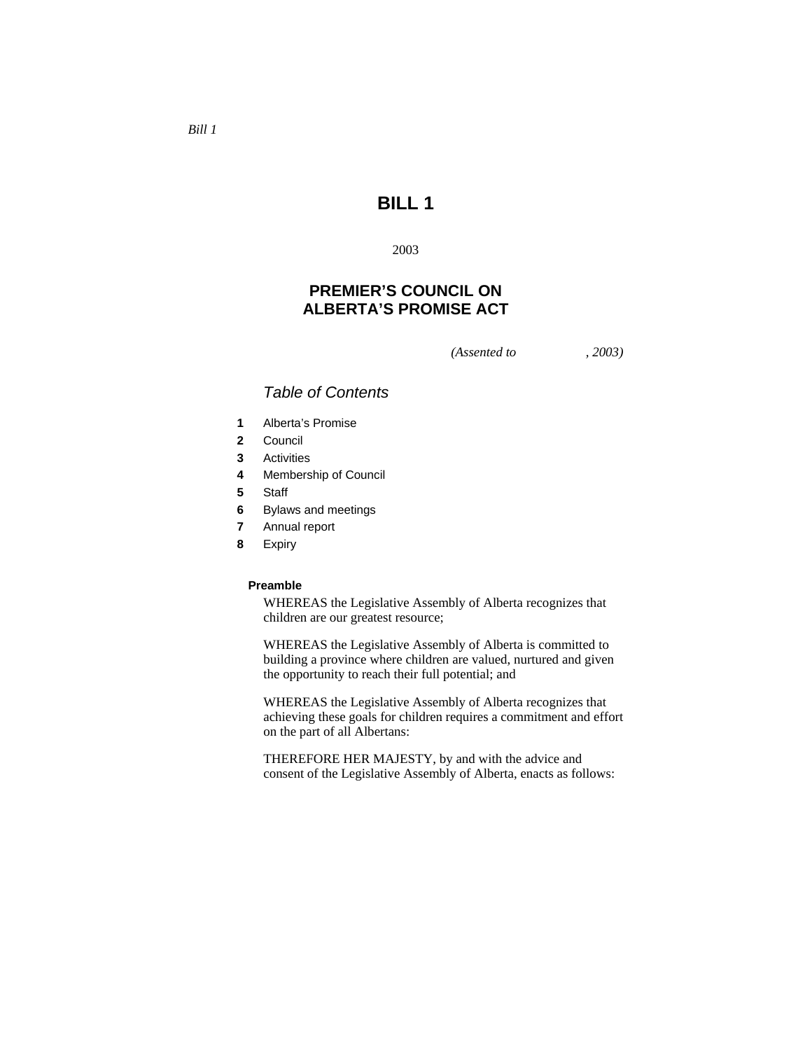# **BILL 1**

2003

# **PREMIER'S COUNCIL ON ALBERTA'S PROMISE ACT**

*(Assented to , 2003)* 

# *Table of Contents*

- **1** Alberta's Promise
- **2** Council
- **3** Activities
- **4** Membership of Council
- **5** Staff
- **6** Bylaws and meetings
- **7** Annual report
- **8** Expiry

# **Preamble**

WHEREAS the Legislative Assembly of Alberta recognizes that children are our greatest resource;

WHEREAS the Legislative Assembly of Alberta is committed to building a province where children are valued, nurtured and given the opportunity to reach their full potential; and

WHEREAS the Legislative Assembly of Alberta recognizes that achieving these goals for children requires a commitment and effort on the part of all Albertans:

THEREFORE HER MAJESTY, by and with the advice and consent of the Legislative Assembly of Alberta, enacts as follows: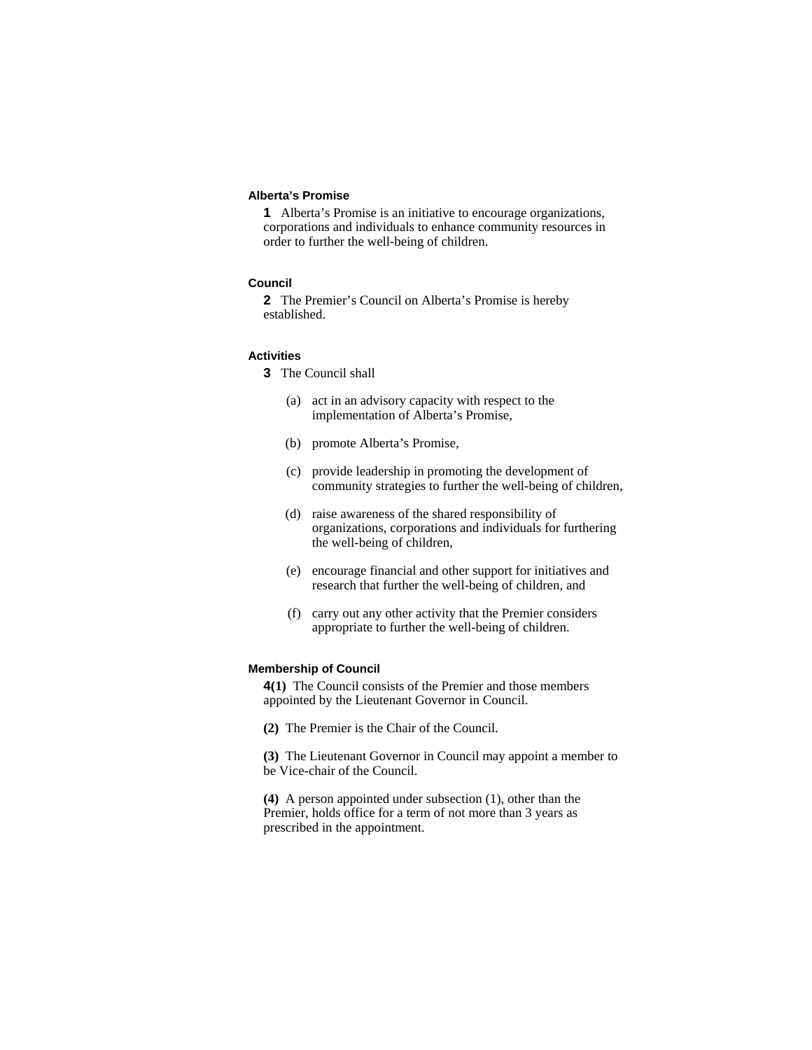### **Alberta's Promise**

**1** Alberta's Promise is an initiative to encourage organizations, corporations and individuals to enhance community resources in order to further the well-being of children.

## **Council**

**2** The Premier's Council on Alberta's Promise is hereby established.

#### **Activities**

- **3** The Council shall
	- (a) act in an advisory capacity with respect to the implementation of Alberta's Promise,
	- (b) promote Alberta's Promise,
	- (c) provide leadership in promoting the development of community strategies to further the well-being of children,
	- (d) raise awareness of the shared responsibility of organizations, corporations and individuals for furthering the well-being of children,
	- (e) encourage financial and other support for initiatives and research that further the well-being of children, and
	- (f) carry out any other activity that the Premier considers appropriate to further the well-being of children.

#### **Membership of Council**

**4(1)** The Council consists of the Premier and those members appointed by the Lieutenant Governor in Council.

**(2)** The Premier is the Chair of the Council.

**(3)** The Lieutenant Governor in Council may appoint a member to be Vice-chair of the Council.

**(4)** A person appointed under subsection (1), other than the Premier, holds office for a term of not more than 3 years as prescribed in the appointment.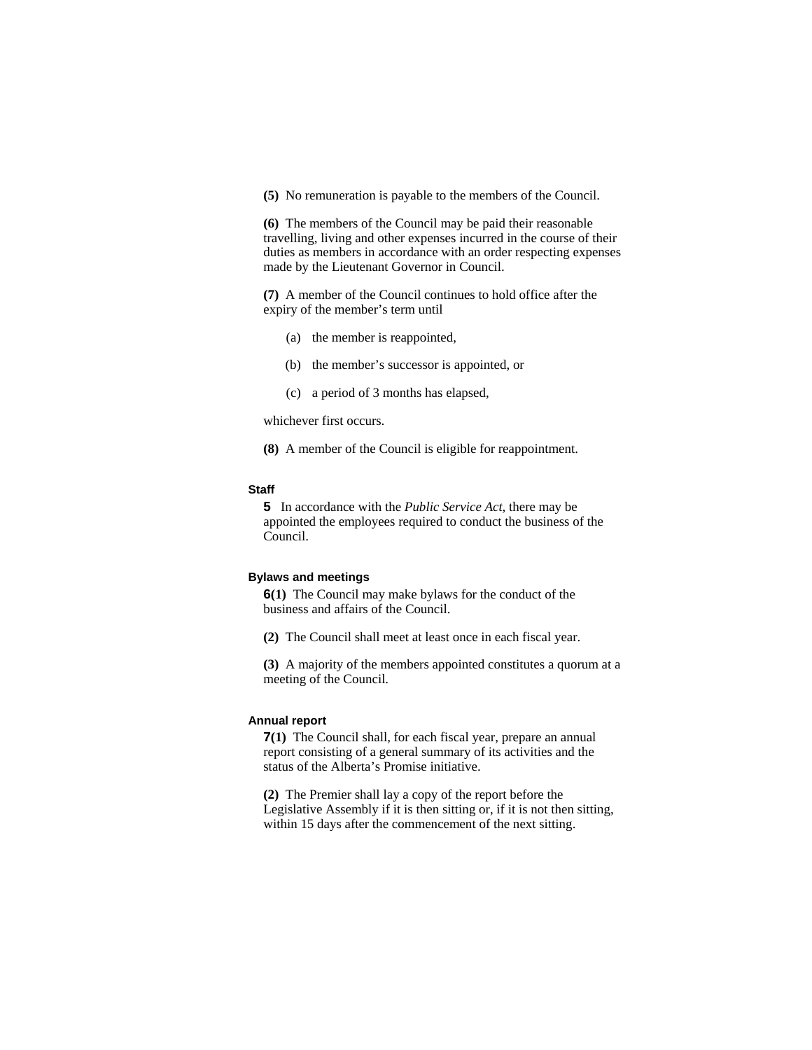**(5)** No remuneration is payable to the members of the Council.

**(6)** The members of the Council may be paid their reasonable travelling, living and other expenses incurred in the course of their duties as members in accordance with an order respecting expenses made by the Lieutenant Governor in Council.

**(7)** A member of the Council continues to hold office after the expiry of the member's term until

- (a) the member is reappointed,
- (b) the member's successor is appointed, or
- (c) a period of 3 months has elapsed,

whichever first occurs.

**(8)** A member of the Council is eligible for reappointment.

## **Staff**

**5** In accordance with the *Public Service Act*, there may be appointed the employees required to conduct the business of the Council.

### **Bylaws and meetings**

**6(1)** The Council may make bylaws for the conduct of the business and affairs of the Council.

**(2)** The Council shall meet at least once in each fiscal year.

**(3)** A majority of the members appointed constitutes a quorum at a meeting of the Council.

## **Annual report**

**7(1)** The Council shall, for each fiscal year, prepare an annual report consisting of a general summary of its activities and the status of the Alberta's Promise initiative.

**(2)** The Premier shall lay a copy of the report before the Legislative Assembly if it is then sitting or, if it is not then sitting, within 15 days after the commencement of the next sitting.